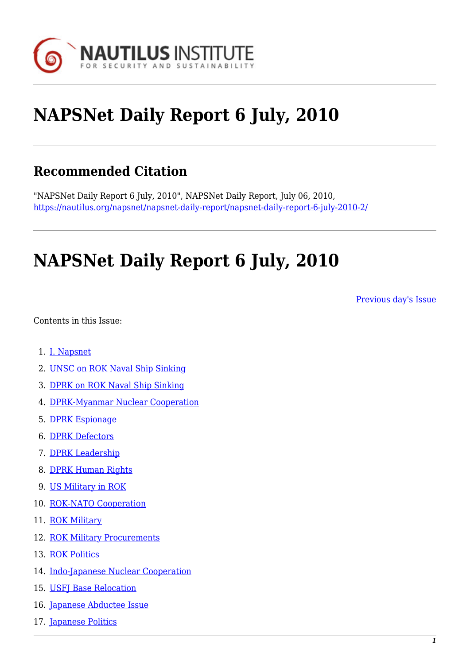

# **NAPSNet Daily Report 6 July, 2010**

# **Recommended Citation**

"NAPSNet Daily Report 6 July, 2010", NAPSNet Daily Report, July 06, 2010, <https://nautilus.org/napsnet/napsnet-daily-report/napsnet-daily-report-6-july-2010-2/>

# **NAPSNet Daily Report 6 July, 2010**

[Previous day's Issue](https://nautilus.org/mailing-lists/napsnet/dr/2010-2/napsnet-daily-report-2-july-2010-2/)

<span id="page-0-0"></span>Contents in this Issue:

- 1. [I. Napsnet](#page-1-0)
- 2. [UNSC on ROK Naval Ship Sinking](#page-1-1)
- 3. [DPRK on ROK Naval Ship Sinking](#page-1-2)
- 4. [DPRK-Myanmar Nuclear Cooperation](#page-2-0)
- 5. [DPRK Espionage](#page-2-1)
- 6. [DPRK Defectors](#page-2-2)
- 7. [DPRK Leadership](#page-3-0)
- 8. [DPRK Human Rights](#page-3-1)
- 9. [US Military in ROK](#page-4-0)
- 10. [ROK-NATO Cooperation](#page-4-1)
- 11. [ROK Military](#page-4-2)
- 12. [ROK Military Procurements](#page-5-0)
- 13. [ROK Politics](#page-5-1)
- 14. [Indo-Japanese Nuclear Cooperation](#page-5-2)
- 15. [USFJ Base Relocation](#page-6-0)
- 16. [Japanese Abductee Issue](#page-6-1)
- 17. [Japanese Politics](#page-7-0)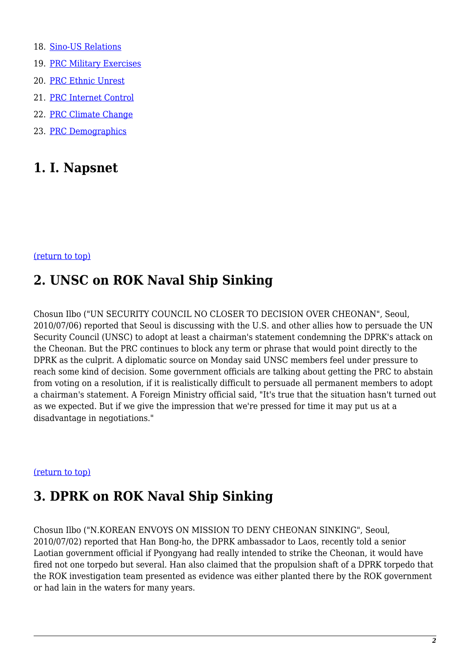- 18. [Sino-US Relations](#page-7-1)
- 19. [PRC Military Exercises](#page-8-0)
- 20. [PRC Ethnic Unrest](#page-8-1)
- 21. [PRC Internet Control](#page-9-0)
- 22. [PRC Climate Change](#page-9-1)
- 23. [PRC Demographics](#page-10-0)

### <span id="page-1-0"></span>**1. I. Napsnet**

#### <span id="page-1-1"></span>[\(return to top\)](#page-0-0)

### **2. UNSC on ROK Naval Ship Sinking**

Chosun Ilbo ("UN SECURITY COUNCIL NO CLOSER TO DECISION OVER CHEONAN", Seoul, 2010/07/06) reported that Seoul is discussing with the U.S. and other allies how to persuade the UN Security Council (UNSC) to adopt at least a chairman's statement condemning the DPRK's attack on the Cheonan. But the PRC continues to block any term or phrase that would point directly to the DPRK as the culprit. A diplomatic source on Monday said UNSC members feel under pressure to reach some kind of decision. Some government officials are talking about getting the PRC to abstain from voting on a resolution, if it is realistically difficult to persuade all permanent members to adopt a chairman's statement. A Foreign Ministry official said, "It's true that the situation hasn't turned out as we expected. But if we give the impression that we're pressed for time it may put us at a disadvantage in negotiations."

#### <span id="page-1-2"></span>[\(return to top\)](#page-0-0)

### **3. DPRK on ROK Naval Ship Sinking**

Chosun Ilbo ("N.KOREAN ENVOYS ON MISSION TO DENY CHEONAN SINKING", Seoul, 2010/07/02) reported that Han Bong-ho, the DPRK ambassador to Laos, recently told a senior Laotian government official if Pyongyang had really intended to strike the Cheonan, it would have fired not one torpedo but several. Han also claimed that the propulsion shaft of a DPRK torpedo that the ROK investigation team presented as evidence was either planted there by the ROK government or had lain in the waters for many years.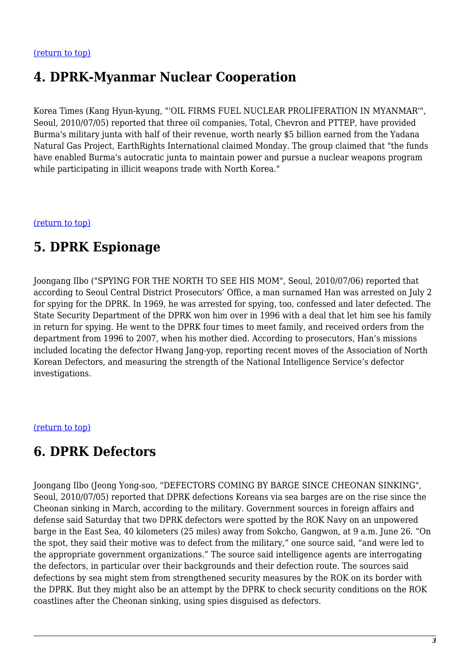# <span id="page-2-0"></span>**4. DPRK-Myanmar Nuclear Cooperation**

Korea Times (Kang Hyun-kyung, "'OIL FIRMS FUEL NUCLEAR PROLIFERATION IN MYANMAR'", Seoul, 2010/07/05) reported that three oil companies, Total, Chevron and PTTEP, have provided Burma's military junta with half of their revenue, worth nearly \$5 billion earned from the Yadana Natural Gas Project, EarthRights International claimed Monday. The group claimed that "the funds have enabled Burma's autocratic junta to maintain power and pursue a nuclear weapons program while participating in illicit weapons trade with North Korea."

<span id="page-2-1"></span>[\(return to top\)](#page-0-0)

# **5. DPRK Espionage**

Joongang Ilbo ("SPYING FOR THE NORTH TO SEE HIS MOM", Seoul, 2010/07/06) reported that according to Seoul Central District Prosecutors' Office, a man surnamed Han was arrested on July 2 for spying for the DPRK. In 1969, he was arrested for spying, too, confessed and later defected. The State Security Department of the DPRK won him over in 1996 with a deal that let him see his family in return for spying. He went to the DPRK four times to meet family, and received orders from the department from 1996 to 2007, when his mother died. According to prosecutors, Han's missions included locating the defector Hwang Jang-yop, reporting recent moves of the Association of North Korean Defectors, and measuring the strength of the National Intelligence Service's defector investigations.

#### <span id="page-2-2"></span>[\(return to top\)](#page-0-0)

### **6. DPRK Defectors**

Joongang Ilbo (Jeong Yong-soo, "DEFECTORS COMING BY BARGE SINCE CHEONAN SINKING", Seoul, 2010/07/05) reported that DPRK defections Koreans via sea barges are on the rise since the Cheonan sinking in March, according to the military. Government sources in foreign affairs and defense said Saturday that two DPRK defectors were spotted by the ROK Navy on an unpowered barge in the East Sea, 40 kilometers (25 miles) away from Sokcho, Gangwon, at 9 a.m. June 26. "On the spot, they said their motive was to defect from the military," one source said, "and were led to the appropriate government organizations." The source said intelligence agents are interrogating the defectors, in particular over their backgrounds and their defection route. The sources said defections by sea might stem from strengthened security measures by the ROK on its border with the DPRK. But they might also be an attempt by the DPRK to check security conditions on the ROK coastlines after the Cheonan sinking, using spies disguised as defectors.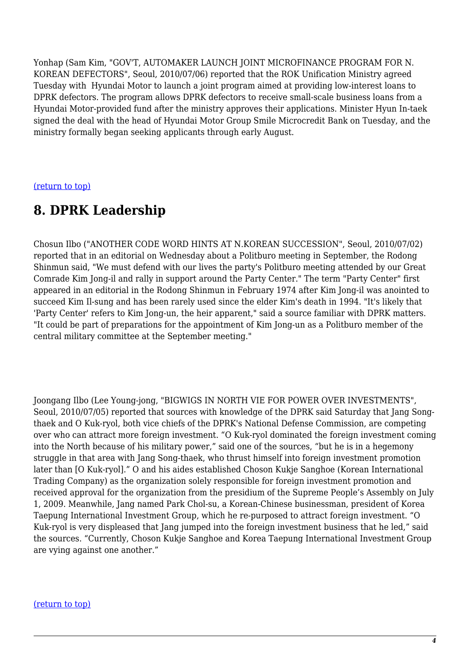Yonhap (Sam Kim, "GOV'T, AUTOMAKER LAUNCH JOINT MICROFINANCE PROGRAM FOR N. KOREAN DEFECTORS", Seoul, 2010/07/06) reported that the ROK Unification Ministry agreed Tuesday with Hyundai Motor to launch a joint program aimed at providing low-interest loans to DPRK defectors. The program allows DPRK defectors to receive small-scale business loans from a Hyundai Motor-provided fund after the ministry approves their applications. Minister Hyun In-taek signed the deal with the head of Hyundai Motor Group Smile Microcredit Bank on Tuesday, and the ministry formally began seeking applicants through early August.

<span id="page-3-0"></span>[\(return to top\)](#page-0-0)

# **8. DPRK Leadership**

Chosun Ilbo ("ANOTHER CODE WORD HINTS AT N.KOREAN SUCCESSION", Seoul, 2010/07/02) reported that in an editorial on Wednesday about a Politburo meeting in September, the Rodong Shinmun said, "We must defend with our lives the party's Politburo meeting attended by our Great Comrade Kim Jong-il and rally in support around the Party Center." The term "Party Center" first appeared in an editorial in the Rodong Shinmun in February 1974 after Kim Jong-il was anointed to succeed Kim Il-sung and has been rarely used since the elder Kim's death in 1994. "It's likely that 'Party Center' refers to Kim Jong-un, the heir apparent," said a source familiar with DPRK matters. "It could be part of preparations for the appointment of Kim Jong-un as a Politburo member of the central military committee at the September meeting."

Joongang Ilbo (Lee Young-jong, "BIGWIGS IN NORTH VIE FOR POWER OVER INVESTMENTS", Seoul, 2010/07/05) reported that sources with knowledge of the DPRK said Saturday that Jang Songthaek and O Kuk-ryol, both vice chiefs of the DPRK's National Defense Commission, are competing over who can attract more foreign investment. "O Kuk-ryol dominated the foreign investment coming into the North because of his military power," said one of the sources, "but he is in a hegemony struggle in that area with Jang Song-thaek, who thrust himself into foreign investment promotion later than [O Kuk-ryol]." O and his aides established Choson Kukje Sanghoe (Korean International Trading Company) as the organization solely responsible for foreign investment promotion and received approval for the organization from the presidium of the Supreme People's Assembly on July 1, 2009. Meanwhile, Jang named Park Chol-su, a Korean-Chinese businessman, president of Korea Taepung International Investment Group, which he re-purposed to attract foreign investment. "O Kuk-ryol is very displeased that Jang jumped into the foreign investment business that he led," said the sources. "Currently, Choson Kukje Sanghoe and Korea Taepung International Investment Group are vying against one another."

#### <span id="page-3-1"></span>[\(return to top\)](#page-0-0)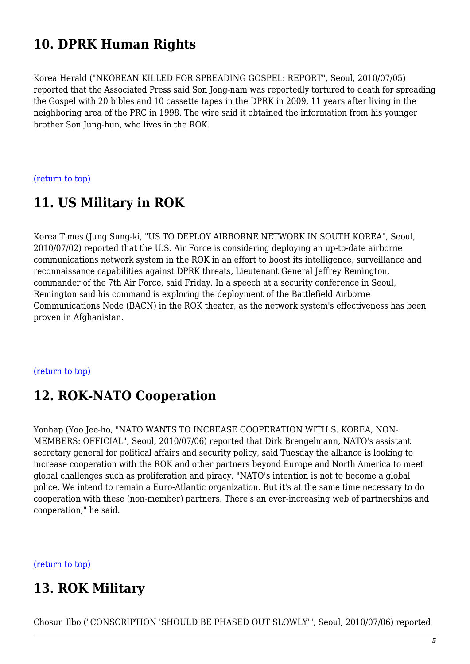# **10. DPRK Human Rights**

Korea Herald ("NKOREAN KILLED FOR SPREADING GOSPEL: REPORT", Seoul, 2010/07/05) reported that the Associated Press said Son Jong-nam was reportedly tortured to death for spreading the Gospel with 20 bibles and 10 cassette tapes in the DPRK in 2009, 11 years after living in the neighboring area of the PRC in 1998. The wire said it obtained the information from his younger brother Son Jung-hun, who lives in the ROK.

<span id="page-4-0"></span>[\(return to top\)](#page-0-0)

# **11. US Military in ROK**

Korea Times (Jung Sung-ki, "US TO DEPLOY AIRBORNE NETWORK IN SOUTH KOREA", Seoul, 2010/07/02) reported that the U.S. Air Force is considering deploying an up-to-date airborne communications network system in the ROK in an effort to boost its intelligence, surveillance and reconnaissance capabilities against DPRK threats, Lieutenant General Jeffrey Remington, commander of the 7th Air Force, said Friday. In a speech at a security conference in Seoul, Remington said his command is exploring the deployment of the Battlefield Airborne Communications Node (BACN) in the ROK theater, as the network system's effectiveness has been proven in Afghanistan.

#### <span id="page-4-1"></span>[\(return to top\)](#page-0-0)

### **12. ROK-NATO Cooperation**

Yonhap (Yoo Jee-ho, "NATO WANTS TO INCREASE COOPERATION WITH S. KOREA, NON-MEMBERS: OFFICIAL", Seoul, 2010/07/06) reported that Dirk Brengelmann, NATO's assistant secretary general for political affairs and security policy, said Tuesday the alliance is looking to increase cooperation with the ROK and other partners beyond Europe and North America to meet global challenges such as proliferation and piracy. "NATO's intention is not to become a global police. We intend to remain a Euro-Atlantic organization. But it's at the same time necessary to do cooperation with these (non-member) partners. There's an ever-increasing web of partnerships and cooperation," he said.

<span id="page-4-2"></span>[\(return to top\)](#page-0-0)

# **13. ROK Military**

Chosun Ilbo ("CONSCRIPTION 'SHOULD BE PHASED OUT SLOWLY'", Seoul, 2010/07/06) reported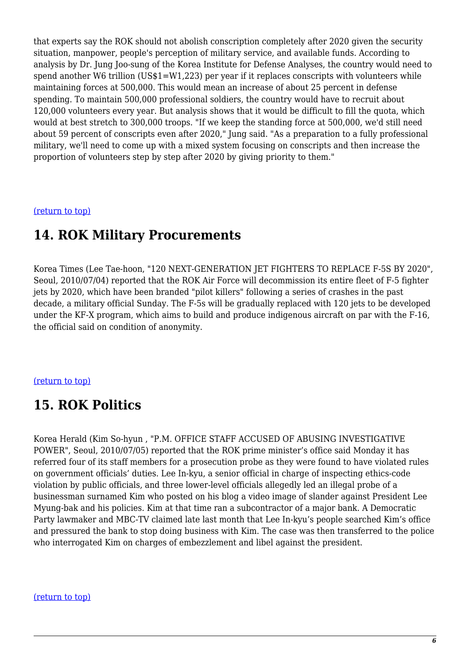that experts say the ROK should not abolish conscription completely after 2020 given the security situation, manpower, people's perception of military service, and available funds. According to analysis by Dr. Jung Joo-sung of the Korea Institute for Defense Analyses, the country would need to spend another W6 trillion (US\$1=W1,223) per year if it replaces conscripts with volunteers while maintaining forces at 500,000. This would mean an increase of about 25 percent in defense spending. To maintain 500,000 professional soldiers, the country would have to recruit about 120,000 volunteers every year. But analysis shows that it would be difficult to fill the quota, which would at best stretch to 300,000 troops. "If we keep the standing force at 500,000, we'd still need about 59 percent of conscripts even after 2020," Jung said. "As a preparation to a fully professional military, we'll need to come up with a mixed system focusing on conscripts and then increase the proportion of volunteers step by step after 2020 by giving priority to them."

#### <span id="page-5-0"></span>[\(return to top\)](#page-0-0)

### **14. ROK Military Procurements**

Korea Times (Lee Tae-hoon, "120 NEXT-GENERATION JET FIGHTERS TO REPLACE F-5S BY 2020", Seoul, 2010/07/04) reported that the ROK Air Force will decommission its entire fleet of F-5 fighter jets by 2020, which have been branded "pilot killers" following a series of crashes in the past decade, a military official Sunday. The F-5s will be gradually replaced with 120 jets to be developed under the KF-X program, which aims to build and produce indigenous aircraft on par with the F-16, the official said on condition of anonymity.

#### <span id="page-5-1"></span>[\(return to top\)](#page-0-0)

# **15. ROK Politics**

Korea Herald (Kim So-hyun , "P.M. OFFICE STAFF ACCUSED OF ABUSING INVESTIGATIVE POWER", Seoul, 2010/07/05) reported that the ROK prime minister's office said Monday it has referred four of its staff members for a prosecution probe as they were found to have violated rules on government officials' duties. Lee In-kyu, a senior official in charge of inspecting ethics-code violation by public officials, and three lower-level officials allegedly led an illegal probe of a businessman surnamed Kim who posted on his blog a video image of slander against President Lee Myung-bak and his policies. Kim at that time ran a subcontractor of a major bank. A Democratic Party lawmaker and MBC-TV claimed late last month that Lee In-kyu's people searched Kim's office and pressured the bank to stop doing business with Kim. The case was then transferred to the police who interrogated Kim on charges of embezzlement and libel against the president.

#### <span id="page-5-2"></span>[\(return to top\)](#page-0-0)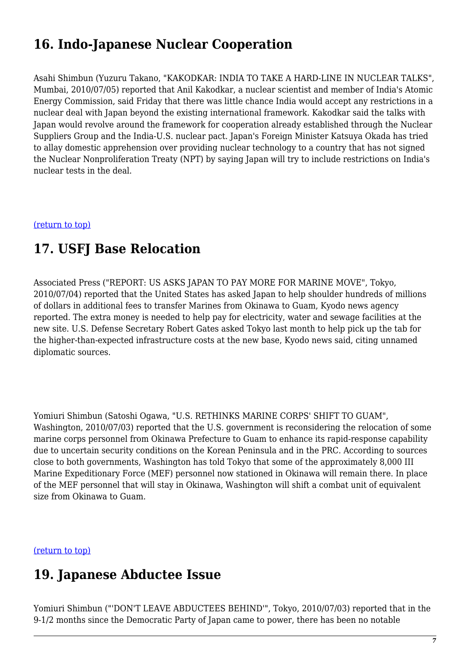# **16. Indo-Japanese Nuclear Cooperation**

Asahi Shimbun (Yuzuru Takano, "KAKODKAR: INDIA TO TAKE A HARD-LINE IN NUCLEAR TALKS", Mumbai, 2010/07/05) reported that Anil Kakodkar, a nuclear scientist and member of India's Atomic Energy Commission, said Friday that there was little chance India would accept any restrictions in a nuclear deal with Japan beyond the existing international framework. Kakodkar said the talks with Japan would revolve around the framework for cooperation already established through the Nuclear Suppliers Group and the India-U.S. nuclear pact. Japan's Foreign Minister Katsuya Okada has tried to allay domestic apprehension over providing nuclear technology to a country that has not signed the Nuclear Nonproliferation Treaty (NPT) by saying Japan will try to include restrictions on India's nuclear tests in the deal.

<span id="page-6-0"></span>[\(return to top\)](#page-0-0)

### **17. USFJ Base Relocation**

Associated Press ("REPORT: US ASKS JAPAN TO PAY MORE FOR MARINE MOVE", Tokyo, 2010/07/04) reported that the United States has asked Japan to help shoulder hundreds of millions of dollars in additional fees to transfer Marines from Okinawa to Guam, Kyodo news agency reported. The extra money is needed to help pay for electricity, water and sewage facilities at the new site. U.S. Defense Secretary Robert Gates asked Tokyo last month to help pick up the tab for the higher-than-expected infrastructure costs at the new base, Kyodo news said, citing unnamed diplomatic sources.

Yomiuri Shimbun (Satoshi Ogawa, "U.S. RETHINKS MARINE CORPS' SHIFT TO GUAM", Washington, 2010/07/03) reported that the U.S. government is reconsidering the relocation of some marine corps personnel from Okinawa Prefecture to Guam to enhance its rapid-response capability due to uncertain security conditions on the Korean Peninsula and in the PRC. According to sources close to both governments, Washington has told Tokyo that some of the approximately 8,000 III Marine Expeditionary Force (MEF) personnel now stationed in Okinawa will remain there. In place of the MEF personnel that will stay in Okinawa, Washington will shift a combat unit of equivalent size from Okinawa to Guam.

<span id="page-6-1"></span>[\(return to top\)](#page-0-0)

### **19. Japanese Abductee Issue**

Yomiuri Shimbun ("'DON'T LEAVE ABDUCTEES BEHIND'", Tokyo, 2010/07/03) reported that in the 9-1/2 months since the Democratic Party of Japan came to power, there has been no notable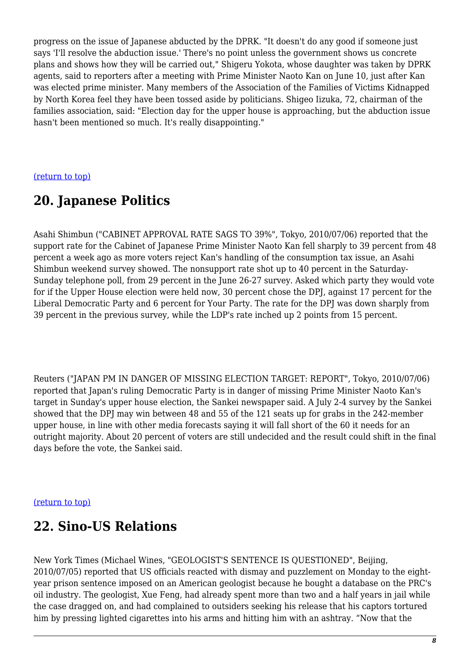progress on the issue of Japanese abducted by the DPRK. "It doesn't do any good if someone just says 'I'll resolve the abduction issue.' There's no point unless the government shows us concrete plans and shows how they will be carried out," Shigeru Yokota, whose daughter was taken by DPRK agents, said to reporters after a meeting with Prime Minister Naoto Kan on June 10, just after Kan was elected prime minister. Many members of the Association of the Families of Victims Kidnapped by North Korea feel they have been tossed aside by politicians. Shigeo Iizuka, 72, chairman of the families association, said: "Election day for the upper house is approaching, but the abduction issue hasn't been mentioned so much. It's really disappointing."

#### <span id="page-7-0"></span>[\(return to top\)](#page-0-0)

### **20. Japanese Politics**

Asahi Shimbun ("CABINET APPROVAL RATE SAGS TO 39%", Tokyo, 2010/07/06) reported that the support rate for the Cabinet of Japanese Prime Minister Naoto Kan fell sharply to 39 percent from 48 percent a week ago as more voters reject Kan's handling of the consumption tax issue, an Asahi Shimbun weekend survey showed. The nonsupport rate shot up to 40 percent in the Saturday-Sunday telephone poll, from 29 percent in the June 26-27 survey. Asked which party they would vote for if the Upper House election were held now, 30 percent chose the DPJ, against 17 percent for the Liberal Democratic Party and 6 percent for Your Party. The rate for the DPJ was down sharply from 39 percent in the previous survey, while the LDP's rate inched up 2 points from 15 percent.

Reuters ("JAPAN PM IN DANGER OF MISSING ELECTION TARGET: REPORT", Tokyo, 2010/07/06) reported that Japan's ruling Democratic Party is in danger of missing Prime Minister Naoto Kan's target in Sunday's upper house election, the Sankei newspaper said. A July 2-4 survey by the Sankei showed that the DPJ may win between 48 and 55 of the 121 seats up for grabs in the 242-member upper house, in line with other media forecasts saying it will fall short of the 60 it needs for an outright majority. About 20 percent of voters are still undecided and the result could shift in the final days before the vote, the Sankei said.

#### <span id="page-7-1"></span>[\(return to top\)](#page-0-0)

### **22. Sino-US Relations**

New York Times (Michael Wines, "GEOLOGIST'S SENTENCE IS QUESTIONED", Beijing, 2010/07/05) reported that US officials reacted with dismay and puzzlement on Monday to the eightyear prison sentence imposed on an American geologist because he bought a database on the PRC's oil industry. The geologist, Xue Feng, had already spent more than two and a half years in jail while the case dragged on, and had complained to outsiders seeking his release that his captors tortured him by pressing lighted cigarettes into his arms and hitting him with an ashtray. "Now that the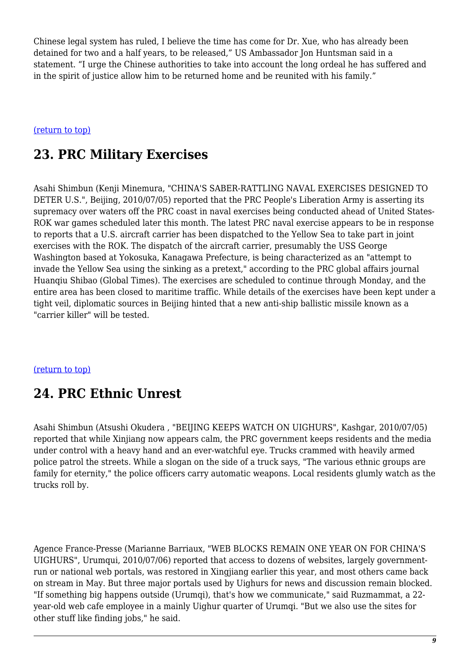Chinese legal system has ruled, I believe the time has come for Dr. Xue, who has already been detained for two and a half years, to be released," US Ambassador Jon Huntsman said in a statement. "I urge the Chinese authorities to take into account the long ordeal he has suffered and in the spirit of justice allow him to be returned home and be reunited with his family."

#### <span id="page-8-0"></span>[\(return to top\)](#page-0-0)

# **23. PRC Military Exercises**

Asahi Shimbun (Kenji Minemura, "CHINA'S SABER-RATTLING NAVAL EXERCISES DESIGNED TO DETER U.S.", Beijing, 2010/07/05) reported that the PRC People's Liberation Army is asserting its supremacy over waters off the PRC coast in naval exercises being conducted ahead of United States-ROK war games scheduled later this month. The latest PRC naval exercise appears to be in response to reports that a U.S. aircraft carrier has been dispatched to the Yellow Sea to take part in joint exercises with the ROK. The dispatch of the aircraft carrier, presumably the USS George Washington based at Yokosuka, Kanagawa Prefecture, is being characterized as an "attempt to invade the Yellow Sea using the sinking as a pretext," according to the PRC global affairs journal Huanqiu Shibao (Global Times). The exercises are scheduled to continue through Monday, and the entire area has been closed to maritime traffic. While details of the exercises have been kept under a tight veil, diplomatic sources in Beijing hinted that a new anti-ship ballistic missile known as a "carrier killer" will be tested.

#### <span id="page-8-1"></span>[\(return to top\)](#page-0-0)

### **24. PRC Ethnic Unrest**

Asahi Shimbun (Atsushi Okudera , "BEIJING KEEPS WATCH ON UIGHURS", Kashgar, 2010/07/05) reported that while Xinjiang now appears calm, the PRC government keeps residents and the media under control with a heavy hand and an ever-watchful eye. Trucks crammed with heavily armed police patrol the streets. While a slogan on the side of a truck says, "The various ethnic groups are family for eternity," the police officers carry automatic weapons. Local residents glumly watch as the trucks roll by.

Agence France-Presse (Marianne Barriaux, "WEB BLOCKS REMAIN ONE YEAR ON FOR CHINA'S UIGHURS", Urumqui, 2010/07/06) reported that access to dozens of websites, largely governmentrun or national web portals, was restored in Xingjiang earlier this year, and most others came back on stream in May. But three major portals used by Uighurs for news and discussion remain blocked. "If something big happens outside (Urumgi), that's how we communicate," said Ruzmammat, a 22year-old web cafe employee in a mainly Uighur quarter of Urumqi. "But we also use the sites for other stuff like finding jobs," he said.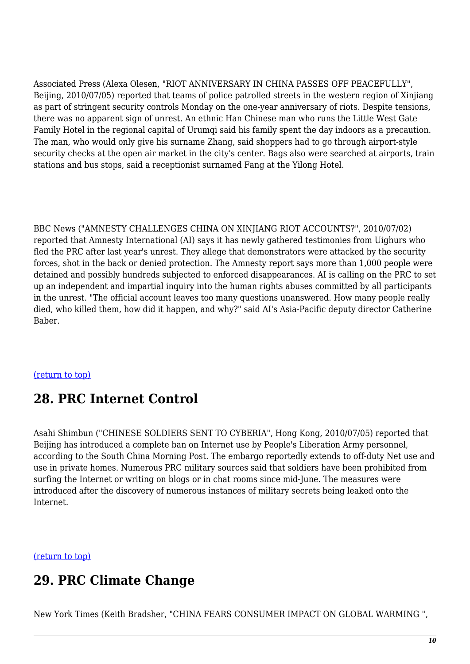Associated Press (Alexa Olesen, "RIOT ANNIVERSARY IN CHINA PASSES OFF PEACEFULLY", Beijing, 2010/07/05) reported that teams of police patrolled streets in the western region of Xinjiang as part of stringent security controls Monday on the one-year anniversary of riots. Despite tensions, there was no apparent sign of unrest. An ethnic Han Chinese man who runs the Little West Gate Family Hotel in the regional capital of Urumqi said his family spent the day indoors as a precaution. The man, who would only give his surname Zhang, said shoppers had to go through airport-style security checks at the open air market in the city's center. Bags also were searched at airports, train stations and bus stops, said a receptionist surnamed Fang at the Yilong Hotel.

BBC News ("AMNESTY CHALLENGES CHINA ON XINJIANG RIOT ACCOUNTS?", 2010/07/02) reported that Amnesty International (AI) says it has newly gathered testimonies from Uighurs who fled the PRC after last year's unrest. They allege that demonstrators were attacked by the security forces, shot in the back or denied protection. The Amnesty report says more than 1,000 people were detained and possibly hundreds subjected to enforced disappearances. AI is calling on the PRC to set up an independent and impartial inquiry into the human rights abuses committed by all participants in the unrest. "The official account leaves too many questions unanswered. How many people really died, who killed them, how did it happen, and why?" said AI's Asia-Pacific deputy director Catherine Baber.

#### <span id="page-9-0"></span>[\(return to top\)](#page-0-0)

### **28. PRC Internet Control**

Asahi Shimbun ("CHINESE SOLDIERS SENT TO CYBERIA", Hong Kong, 2010/07/05) reported that Beijing has introduced a complete ban on Internet use by People's Liberation Army personnel, according to the South China Morning Post. The embargo reportedly extends to off-duty Net use and use in private homes. Numerous PRC military sources said that soldiers have been prohibited from surfing the Internet or writing on blogs or in chat rooms since mid-June. The measures were introduced after the discovery of numerous instances of military secrets being leaked onto the Internet.

<span id="page-9-1"></span>[\(return to top\)](#page-0-0)

# **29. PRC Climate Change**

New York Times (Keith Bradsher, "CHINA FEARS CONSUMER IMPACT ON GLOBAL WARMING ",